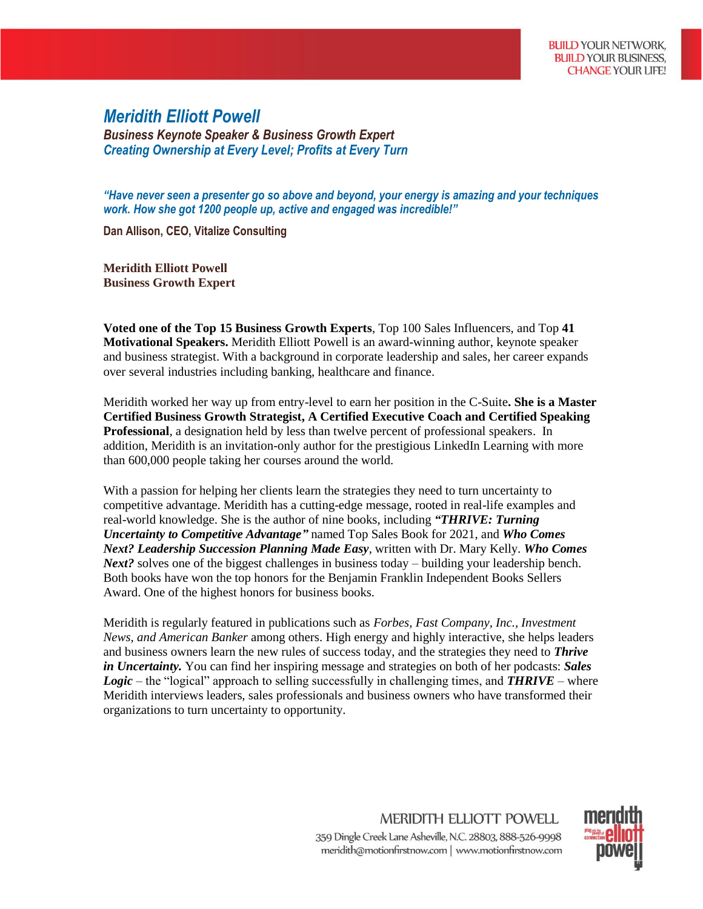## *Meridith Elliott Powell*

*Business Keynote Speaker & Business Growth Expert Creating Ownership at Every Level; Profits at Every Turn*

*"Have never seen a presenter go so above and beyond, your energy is amazing and your techniques work. How she got 1200 people up, active and engaged was incredible!"*

**Dan Allison, CEO, Vitalize Consulting**

**Meridith Elliott Powell Business Growth Expert**

**Voted one of the Top 15 Business Growth Experts**, Top 100 Sales Influencers, and Top **41 Motivational Speakers.** Meridith Elliott Powell is an award-winning author, keynote speaker and business strategist. With a background in corporate leadership and sales, her career expands over several industries including banking, healthcare and finance.

Meridith worked her way up from entry-level to earn her position in the C-Suite**. She is a Master Certified Business Growth Strategist, A Certified Executive Coach and Certified Speaking Professional**, a designation held by less than twelve percent of professional speakers. In addition, Meridith is an invitation-only author for the prestigious LinkedIn Learning with more than 600,000 people taking her courses around the world.

With a passion for helping her clients learn the strategies they need to turn uncertainty to competitive advantage. Meridith has a cutting-edge message, rooted in real-life examples and real-world knowledge. She is the author of nine books, including *"THRIVE: Turning Uncertainty to Competitive Advantage"* named Top Sales Book for 2021, and *Who Comes Next? Leadership Succession Planning Made Easy*, written with Dr. Mary Kelly. *Who Comes Next?* solves one of the biggest challenges in business today – building your leadership bench. Both books have won the top honors for the Benjamin Franklin Independent Books Sellers Award. One of the highest honors for business books.

Meridith is regularly featured in publications such as *Forbes, Fast Company, Inc., Investment News, and American Banker* among others. High energy and highly interactive, she helps leaders and business owners learn the new rules of success today, and the strategies they need to *Thrive in Uncertainty.* You can find her inspiring message and strategies on both of her podcasts: *Sales Logic* – the "logical" approach to selling successfully in challenging times, and *THRIVE* – where Meridith interviews leaders, sales professionals and business owners who have transformed their organizations to turn uncertainty to opportunity.

> **MERIDITH ELLIOTT POWELL** 359 Dingle Creek Lane Asheville, N.C. 28803, 888-526-9998 meridith@motionfirstnow.com | www.motionfirstnow.com